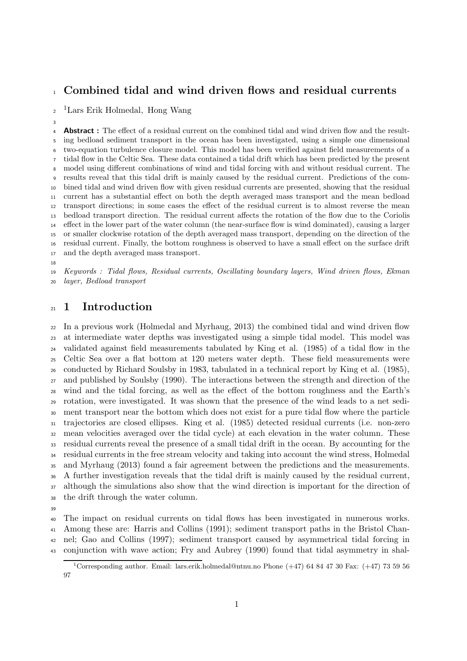# Combined tidal and wind driven flows and residual currents

<sup>2</sup><sup>1</sup>Lars Erik Holmedal, Hong Wang

**Abstract**: The effect of a residual current on the combined tidal and wind driven flow and the result- ing bedload sediment transport in the ocean has been investigated, using a simple one dimensional two-equation turbulence closure model. This model has been verified against field measurements of a tidal flow in the Celtic Sea. These data contained a tidal drift which has been predicted by the present model using different combinations of wind and tidal forcing with and without residual current. The results reveal that this tidal drift is mainly caused by the residual current. Predictions of the com- bined tidal and wind driven flow with given residual currents are presented, showing that the residual current has a substantial effect on both the depth averaged mass transport and the mean bedload transport directions; in some cases the effect of the residual current is to almost reverse the mean bedload transport direction. The residual current affects the rotation of the flow due to the Coriolis effect in the lower part of the water column (the near-surface flow is wind dominated), causing a larger or smaller clockwise rotation of the depth averaged mass transport, depending on the direction of the residual current. Finally, the bottom roughness is observed to have a small effect on the surface drift and the depth averaged mass transport.

 Keywords : Tidal flows, Residual currents, Oscillating boundary layers, Wind driven flows, Ekman layer, Bedload transport

# 21 1 Introduction

 In a previous work (Holmedal and Myrhaug, 2013) the combined tidal and wind driven flow at intermediate water depths was investigated using a simple tidal model. This model was validated against field measurements tabulated by King et al. (1985) of a tidal flow in the Celtic Sea over a flat bottom at 120 meters water depth. These field measurements were conducted by Richard Soulsby in 1983, tabulated in a technical report by King et al. (1985), and published by Soulsby (1990). The interactions between the strength and direction of the wind and the tidal forcing, as well as the effect of the bottom roughness and the Earth's rotation, were investigated. It was shown that the presence of the wind leads to a net sedi- ment transport near the bottom which does not exist for a pure tidal flow where the particle trajectories are closed ellipses. King et al. (1985) detected residual currents (i.e. non-zero mean velocities averaged over the tidal cycle) at each elevation in the water column. These residual currents reveal the presence of a small tidal drift in the ocean. By accounting for the residual currents in the free stream velocity and taking into account the wind stress, Holmedal and Myrhaug (2013) found a fair agreement between the predictions and the measurements. A further investigation reveals that the tidal drift is mainly caused by the residual current, although the simulations also show that the wind direction is important for the direction of the drift through the water column.

 The impact on residual currents on tidal flows has been investigated in numerous works. Among these are: Harris and Collins (1991); sediment transport paths in the Bristol Chan- nel; Gao and Collins (1997); sediment transport caused by asymmetrical tidal forcing in conjunction with wave action; Fry and Aubrey (1990) found that tidal asymmetry in shal-

<sup>&</sup>lt;sup>1</sup>Corresponding author. Email: lars.erik.holmedal@ntnu.no Phone  $(+47)$  64 84 47 30 Fax:  $(+47)$  73 59 56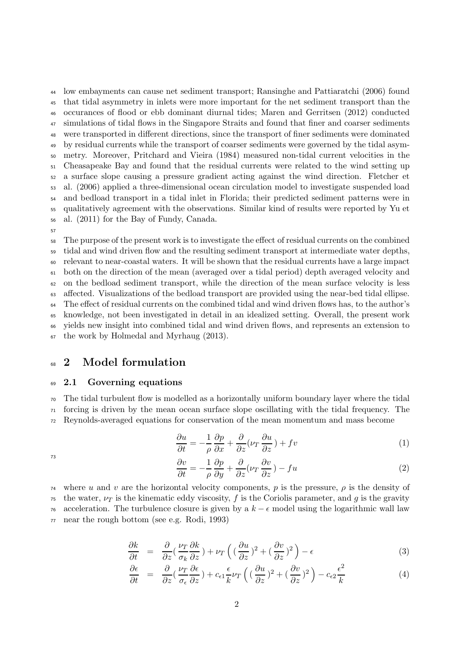low embayments can cause net sediment transport; Ransinghe and Pattiaratchi (2006) found that tidal asymmetry in inlets were more important for the net sediment transport than the occurances of flood or ebb dominant diurnal tides; Maren and Gerritsen (2012) conducted simulations of tidal flows in the Singapore Straits and found that finer and coarser sediments were transported in different directions, since the transport of finer sediments were dominated by residual currents while the transport of coarser sediments were governed by the tidal asym- metry. Moreover, Pritchard and Vieira (1984) measured non-tidal current velocities in the Cheasapeake Bay and found that the residual currents were related to the wind setting up a surface slope causing a pressure gradient acting against the wind direction. Fletcher et al. (2006) applied a three-dimensional ocean circulation model to investigate suspended load and bedload transport in a tidal inlet in Florida; their predicted sediment patterns were in qualitatively agreement with the observations. Similar kind of results were reported by Yu et al. (2011) for the Bay of Fundy, Canada.

57

 The purpose of the present work is to investigate the effect of residual currents on the combined tidal and wind driven flow and the resulting sediment transport at intermediate water depths, relevant to near-coastal waters. It will be shown that the residual currents have a large impact both on the direction of the mean (averaged over a tidal period) depth averaged velocity and on the bedload sediment transport, while the direction of the mean surface velocity is less affected. Visualizations of the bedload transport are provided using the near-bed tidal ellipse. The effect of residual currents on the combined tidal and wind driven flows has, to the author's knowledge, not been investigated in detail in an idealized setting. Overall, the present work yields new insight into combined tidal and wind driven flows, and represents an extension to the work by Holmedal and Myrhaug (2013).

## <sup>68</sup> 2 Model formulation

## <sup>69</sup> 2.1 Governing equations

<sup>70</sup> The tidal turbulent flow is modelled as a horizontally uniform boundary layer where the tidal  $71$  forcing is driven by the mean ocean surface slope oscillating with the tidal frequency. The <sup>72</sup> Reynolds-averaged equations for conservation of the mean momentum and mass become

$$
\frac{\partial u}{\partial t} = -\frac{1}{\rho} \frac{\partial p}{\partial x} + \frac{\partial}{\partial z} (\nu_T \frac{\partial u}{\partial z}) + fv \tag{1}
$$

73

$$
\frac{\partial v}{\partial t} = -\frac{1}{\rho} \frac{\partial p}{\partial y} + \frac{\partial}{\partial z} (\nu_T \frac{\partial v}{\partial z}) - fu \tag{2}
$$

<sup>74</sup> where u and v are the horizontal velocity components, p is the pressure,  $\rho$  is the density of <sup>75</sup> the water,  $\nu_T$  is the kinematic eddy viscosity, f is the Coriolis parameter, and g is the gravity <sup>76</sup> acceleration. The turbulence closure is given by a  $k - \epsilon$  model using the logarithmic wall law <sup>77</sup> near the rough bottom (see e.g. Rodi, 1993)

$$
\frac{\partial k}{\partial t} = \frac{\partial}{\partial z} \left( \frac{\nu_T}{\sigma_k} \frac{\partial k}{\partial z} \right) + \nu_T \left( \left( \frac{\partial u}{\partial z} \right)^2 + \left( \frac{\partial v}{\partial z} \right)^2 \right) - \epsilon \tag{3}
$$

$$
\frac{\partial \epsilon}{\partial t} = \frac{\partial}{\partial z} \left( \frac{\nu_T}{\sigma_{\epsilon}} \frac{\partial \epsilon}{\partial z} \right) + c_{\epsilon 1} \frac{\epsilon}{k} \nu_T \left( \left( \frac{\partial u}{\partial z} \right)^2 + \left( \frac{\partial v}{\partial z} \right)^2 \right) - c_{\epsilon 2} \frac{\epsilon^2}{k} \tag{4}
$$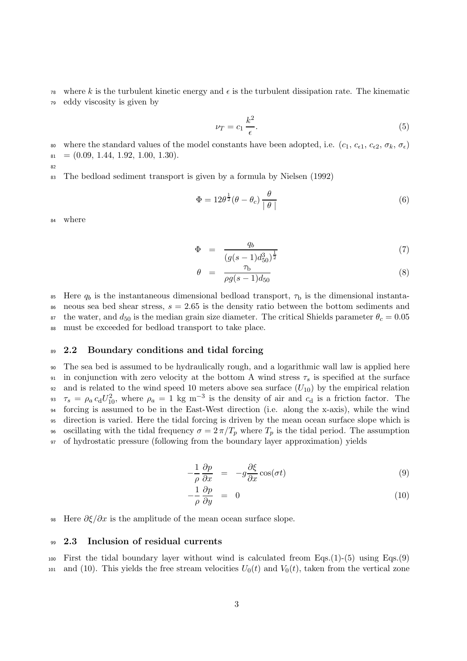<sup>78</sup> where k is the turbulent kinetic energy and  $\epsilon$  is the turbulent dissipation rate. The kinematic <sup>79</sup> eddy viscosity is given by

$$
\nu_T = c_1 \frac{k^2}{\epsilon}.\tag{5}
$$

80 where the standard values of the model constants have been adopted, i.e.  $(c_1, c_{\epsilon 1}, c_{\epsilon 2}, \sigma_k, \sigma_{\epsilon})$  $81 = (0.09, 1.44, 1.92, 1.00, 1.30).$ 

82

<sup>83</sup> The bedload sediment transport is given by a formula by Nielsen (1992)

$$
\Phi = 12\theta^{\frac{1}{2}}(\theta - \theta_c) \frac{\theta}{\vert \theta \vert}
$$
\n(6)

<sup>84</sup> where

$$
\Phi = \frac{q_b}{(g(s-1)d_{50}^3)^{\frac{1}{2}}} \tag{7}
$$

$$
\theta = \frac{\tau_b}{\rho g (s - 1) d_{50}} \tag{8}
$$

<sup>85</sup> Here  $q_b$  is the instantaneous dimensional bedload transport,  $\tau_b$  is the dimensional instanta-86 neous sea bed shear stress,  $s = 2.65$  is the density ratio between the bottom sediments and 87 the water, and  $d_{50}$  is the median grain size diameter. The critical Shields parameter  $\theta_c = 0.05$ <sup>88</sup> must be exceeded for bedload transport to take place.

### 89 2.2 Boundary conditions and tidal forcing

 The sea bed is assumed to be hydraulically rough, and a logarithmic wall law is applied here 91 in conjunction with zero velocity at the bottom A wind stress  $\tau_s$  is specified at the surface 92 and is related to the wind speed 10 meters above sea surface  $(U_{10})$  by the empirical relation  $\tau_s = \rho_a c_d U_{10}^2$ , where  $\rho_a = 1$  kg m<sup>-3</sup> is the density of air and  $c_d$  is a friction factor. The forcing is assumed to be in the East-West direction (i.e. along the x-axis), while the wind direction is varied. Here the tidal forcing is driven by the mean ocean surface slope which is 96 oscillating with the tidal frequency  $\sigma = 2\pi/T_p$  where  $T_p$  is the tidal period. The assumption of hydrostatic pressure (following from the boundary layer approximation) yields

$$
-\frac{1}{\rho}\frac{\partial p}{\partial x} = -g\frac{\partial \xi}{\partial x}\cos(\sigma t)
$$
\n(9)

$$
-\frac{1}{\rho}\frac{\partial p}{\partial y} = 0 \tag{10}
$$

98 Here  $\partial \xi / \partial x$  is the amplitude of the mean ocean surface slope.

#### <sup>99</sup> 2.3 Inclusion of residual currents

100 First the tidal boundary layer without wind is calculated freom  $Eqs.(1)-(5)$  using  $Eqs.(9)$ 101 and (10). This yields the free stream velocities  $U_0(t)$  and  $V_0(t)$ , taken from the vertical zone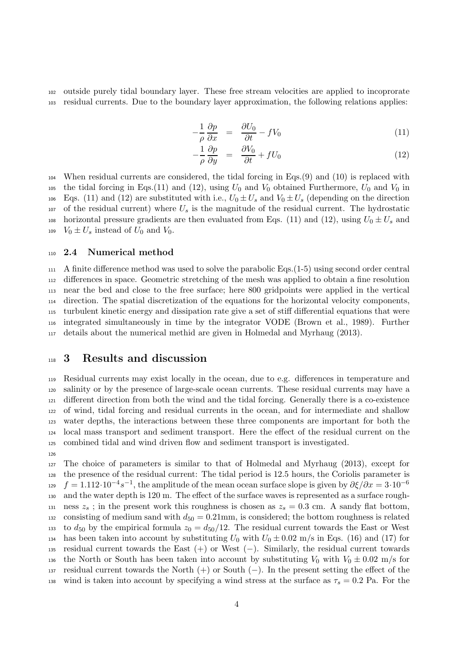<sup>102</sup> outside purely tidal boundary layer. These free stream velocities are applied to incoprorate <sup>103</sup> residual currents. Due to the boundary layer approximation, the following relations applies:

$$
-\frac{1}{\rho}\frac{\partial p}{\partial x} = \frac{\partial U_0}{\partial t} - fV_0 \tag{11}
$$

$$
-\frac{1}{\rho}\frac{\partial p}{\partial y} = \frac{\partial V_0}{\partial t} + fU_0 \tag{12}
$$

<sup>104</sup> When residual currents are considered, the tidal forcing in Eqs.(9) and (10) is replaced with 105 the tidal forcing in Eqs.(11) and (12), using  $U_0$  and  $V_0$  obtained Furthermore,  $U_0$  and  $V_0$  in 106 Eqs. (11) and (12) are substituted with i.e.,  $U_0 \pm U_s$  and  $V_0 \pm U_s$  (depending on the direction  $107$  of the residual current) where  $U_s$  is the magnitude of the residual current. The hydrostatic 108 horizontal pressure gradients are then evaluated from Eqs. (11) and (12), using  $U_0 \pm U_s$  and 109  $V_0 \pm U_s$  instead of  $U_0$  and  $V_0$ .

## <sup>110</sup> 2.4 Numerical method

 A finite difference method was used to solve the parabolic Eqs.(1-5) using second order central differences in space. Geometric stretching of the mesh was applied to obtain a fine resolution near the bed and close to the free surface; here 800 gridpoints were applied in the vertical direction. The spatial discretization of the equations for the horizontal velocity components, turbulent kinetic energy and dissipation rate give a set of stiff differential equations that were integrated simultaneously in time by the integrator VODE (Brown et al., 1989). Further details about the numerical methid are given in Holmedal and Myrhaug (2013).

## <sup>118</sup> 3 Results and discussion

126

 Residual currents may exist locally in the ocean, due to e.g. differences in temperature and salinity or by the presence of large-scale ocean currents. These residual currents may have a different direction from both the wind and the tidal forcing. Generally there is a co-existence of wind, tidal forcing and residual currents in the ocean, and for intermediate and shallow water depths, the interactions between these three components are important for both the local mass transport and sediment transport. Here the effect of the residual current on the combined tidal and wind driven flow and sediment transport is investigated.

<sup>127</sup> The choice of parameters is similar to that of Holmedal and Myrhaug (2013), except for <sup>128</sup> the presence of the residual current: The tidal period is 12.5 hours, the Coriolis parameter is  $f = 1.112 \cdot 10^{-4} s^{-1}$ , the amplitude of the mean ocean surface slope is given by  $\partial \xi / \partial x = 3 \cdot 10^{-6}$ 129 <sup>130</sup> and the water depth is 120 m. The effect of the surface waves is represented as a surface rough-131 ness  $z_s$ ; in the present work this roughness is chosen as  $z_s = 0.3$  cm. A sandy flat bottom, 132 consisting of medium sand with  $d_{50} = 0.21$  mm, is considered; the bottom roughness is related 133 to  $d_{50}$  by the empirical formula  $z_0 = d_{50}/12$ . The residual current towards the East or West 134 has been taken into account by substituting  $U_0$  with  $U_0 \pm 0.02$  m/s in Eqs. (16) and (17) for <sup>135</sup> residual current towards the East (+) or West (−). Similarly, the residual current towards 136 the North or South has been taken into account by substituting  $V_0$  with  $V_0 \pm 0.02$  m/s for <sup>137</sup> residual current towards the North (+) or South (−). In the present setting the effect of the 138 wind is taken into account by specifying a wind stress at the surface as  $\tau_s = 0.2$  Pa. For the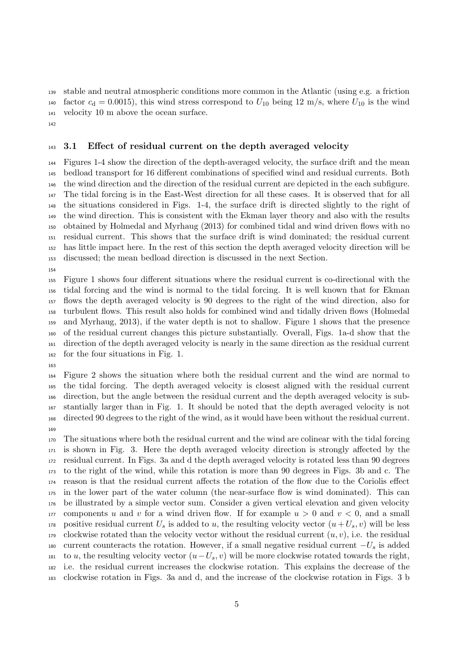stable and neutral atmospheric conditions more common in the Atlantic (using e.g. a friction 140 factor  $c_d = 0.0015$ , this wind stress correspond to  $U_{10}$  being 12 m/s, where  $U_{10}$  is the wind velocity 10 m above the ocean surface.

#### <sup>143</sup> 3.1 Effect of residual current on the depth averaged velocity

 Figures 1-4 show the direction of the depth-averaged velocity, the surface drift and the mean bedload transport for 16 different combinations of specified wind and residual currents. Both the wind direction and the direction of the residual current are depicted in the each subfigure. The tidal forcing is in the East-West direction for all these cases. It is observed that for all the situations considered in Figs. 1-4, the surface drift is directed slightly to the right of the wind direction. This is consistent with the Ekman layer theory and also with the results obtained by Holmedal and Myrhaug (2013) for combined tidal and wind driven flows with no residual current. This shows that the surface drift is wind dominated; the residual current has little impact here. In the rest of this section the depth averaged velocity direction will be discussed; the mean bedload direction is discussed in the next Section.

 Figure 1 shows four different situations where the residual current is co-directional with the tidal forcing and the wind is normal to the tidal forcing. It is well known that for Ekman flows the depth averaged velocity is 90 degrees to the right of the wind direction, also for turbulent flows. This result also holds for combined wind and tidally driven flows (Holmedal and Myrhaug, 2013), if the water depth is not to shallow. Figure 1 shows that the presence of the residual current changes this picture substantially. Overall, Figs. 1a-d show that the direction of the depth averaged velocity is nearly in the same direction as the residual current for the four situations in Fig. 1.

 Figure 2 shows the situation where both the residual current and the wind are normal to the tidal forcing. The depth averaged velocity is closest aligned with the residual current direction, but the angle between the residual current and the depth averaged velocity is sub- stantially larger than in Fig. 1. It should be noted that the depth averaged velocity is not directed 90 degrees to the right of the wind, as it would have been without the residual current.

 The situations where both the residual current and the wind are colinear with the tidal forcing is shown in Fig. 3. Here the depth averaged velocity direction is strongly affected by the residual current. In Figs. 3a and d the depth averaged velocity is rotated less than 90 degrees to the right of the wind, while this rotation is more than 90 degrees in Figs. 3b and c. The reason is that the residual current affects the rotation of the flow due to the Coriolis effect in the lower part of the water column (the near-surface flow is wind dominated). This can be illustrated by a simple vector sum. Consider a given vertical elevation and given velocity 177 components u and v for a wind driven flow. If for example  $u > 0$  and  $v < 0$ , and a small 178 positive residual current  $U_s$  is added to u, the resulting velocity vector  $(u+U_s, v)$  will be less 179 clockwise rotated than the velocity vector without the residual current  $(u, v)$ , i.e. the residual 180 current counteracts the rotation. However, if a small negative residual current  $-U_s$  is added 181 to u, the resulting velocity vector  $(u-U_s, v)$  will be more clockwise rotated towards the right, i.e. the residual current increases the clockwise rotation. This explains the decrease of the clockwise rotation in Figs. 3a and d, and the increase of the clockwise rotation in Figs. 3 b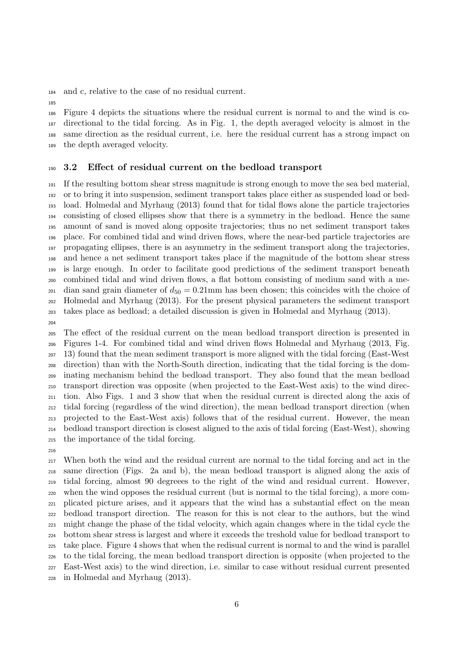and c, relative to the case of no residual current.

 Figure 4 depicts the situations where the residual current is normal to and the wind is co- directional to the tidal forcing. As in Fig. 1, the depth averaged velocity is almost in the same direction as the residual current, i.e. here the residual current has a strong impact on the depth averaged velocity.

### 3.2 Effect of residual current on the bedload transport

 If the resulting bottom shear stress magnitude is strong enough to move the sea bed material, or to bring it into suspension, sediment transport takes place either as suspended load or bed- load. Holmedal and Myrhaug (2013) found that for tidal flows alone the particle trajectories consisting of closed ellipses show that there is a symmetry in the bedload. Hence the same amount of sand is moved along opposite trajectories; thus no net sediment transport takes place. For combined tidal and wind driven flows, where the near-bed particle trajectories are propagating ellipses, there is an asymmetry in the sediment transport along the trajectories, and hence a net sediment transport takes place if the magnitude of the bottom shear stress is large enough. In order to facilitate good predictions of the sediment transport beneath combined tidal and wind driven flows, a flat bottom consisting of medium sand with a me- $_{201}$  dian sand grain diameter of  $d_{50} = 0.21$  mm has been chosen; this coincides with the choice of Holmedal and Myrhaug (2013). For the present physical parameters the sediment transport takes place as bedload; a detailed discussion is given in Holmedal and Myrhaug (2013).

 The effect of the residual current on the mean bedload transport direction is presented in Figures 1-4. For combined tidal and wind driven flows Holmedal and Myrhaug (2013, Fig. 13) found that the mean sediment transport is more aligned with the tidal forcing (East-West direction) than with the North-South direction, indicating that the tidal forcing is the dom- inating mechanism behind the bedload transport. They also found that the mean bedload transport direction was opposite (when projected to the East-West axis) to the wind direc- tion. Also Figs. 1 and 3 show that when the residual current is directed along the axis of tidal forcing (regardless of the wind direction), the mean bedload transport direction (when projected to the East-West axis) follows that of the residual current. However, the mean bedload transport direction is closest aligned to the axis of tidal forcing (East-West), showing the importance of the tidal forcing.

 When both the wind and the residual current are normal to the tidal forcing and act in the same direction (Figs. 2a and b), the mean bedload transport is aligned along the axis of tidal forcing, almost 90 degreees to the right of the wind and residual current. However, when the wind opposes the residual current (but is normal to the tidal forcing), a more com- plicated picture arises, and it appears that the wind has a substantial effect on the mean bedload transport direction. The reason for this is not clear to the authors, but the wind might change the phase of the tidal velocity, which again changes where in the tidal cycle the bottom shear stress is largest and where it exceeds the treshold value for bedload transport to take place. Figure 4 shows that when the redisual current is normal to and the wind is parallel to the tidal forcing, the mean bedload transport direction is opposite (when projected to the East-West axis) to the wind direction, i.e. similar to case without residual current presented in Holmedal and Myrhaug (2013).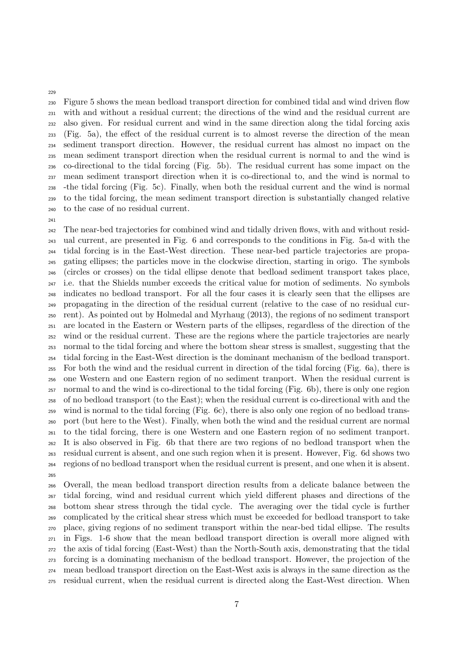Figure 5 shows the mean bedload transport direction for combined tidal and wind driven flow with and without a residual current; the directions of the wind and the residual current are also given. For residual current and wind in the same direction along the tidal forcing axis (Fig. 5a), the effect of the residual current is to almost reverse the direction of the mean sediment transport direction. However, the residual current has almost no impact on the mean sediment transport direction when the residual current is normal to and the wind is co-directional to the tidal forcing (Fig. 5b). The residual current has some impact on the mean sediment transport direction when it is co-directional to, and the wind is normal to -the tidal forcing (Fig. 5c). Finally, when both the residual current and the wind is normal to the tidal forcing, the mean sediment transport direction is substantially changed relative to the case of no residual current.

 The near-bed trajectories for combined wind and tidally driven flows, with and without resid- ual current, are presented in Fig. 6 and corresponds to the conditions in Fig. 5a-d with the tidal forcing is in the East-West direction. These near-bed particle trajectories are propa- gating ellipses; the particles move in the clockwise direction, starting in origo. The symbols (circles or crosses) on the tidal ellipse denote that bedload sediment transport takes place, i.e. that the Shields number exceeds the critical value for motion of sediments. No symbols indicates no bedload transport. For all the four cases it is clearly seen that the ellipses are propagating in the direction of the residual current (relative to the case of no residual cur- rent). As pointed out by Holmedal and Myrhaug (2013), the regions of no sediment transport are located in the Eastern or Western parts of the ellipses, regardless of the direction of the wind or the residual current. These are the regions where the particle trajectories are nearly normal to the tidal forcing and where the bottom shear stress is smallest, suggesting that the tidal forcing in the East-West direction is the dominant mechanism of the bedload transport. For both the wind and the residual current in direction of the tidal forcing (Fig. 6a), there is one Western and one Eastern region of no sediment tranport. When the residual current is normal to and the wind is co-directional to the tidal forcing (Fig. 6b), there is only one region of no bedload transport (to the East); when the residual current is co-directional with and the wind is normal to the tidal forcing (Fig. 6c), there is also only one region of no bedload trans- port (but here to the West). Finally, when both the wind and the residual current are normal to the tidal forcing, there is one Western and one Eastern region of no sediment tranport. It is also observed in Fig. 6b that there are two regions of no bedload transport when the residual current is absent, and one such region when it is present. However, Fig. 6d shows two regions of no bedload transport when the residual current is present, and one when it is absent. 

 Overall, the mean bedload transport direction results from a delicate balance between the tidal forcing, wind and residual current which yield different phases and directions of the bottom shear stress through the tidal cycle. The averaging over the tidal cycle is further complicated by the critical shear stress which must be exceeded for bedload transport to take place, giving regions of no sediment transport within the near-bed tidal ellipse. The results in Figs. 1-6 show that the mean bedload transport direction is overall more aligned with the axis of tidal forcing (East-West) than the North-South axis, demonstrating that the tidal forcing is a dominating mechanism of the bedload transport. However, the projection of the mean bedload transport direction on the East-West axis is always in the same direction as the residual current, when the residual current is directed along the East-West direction. When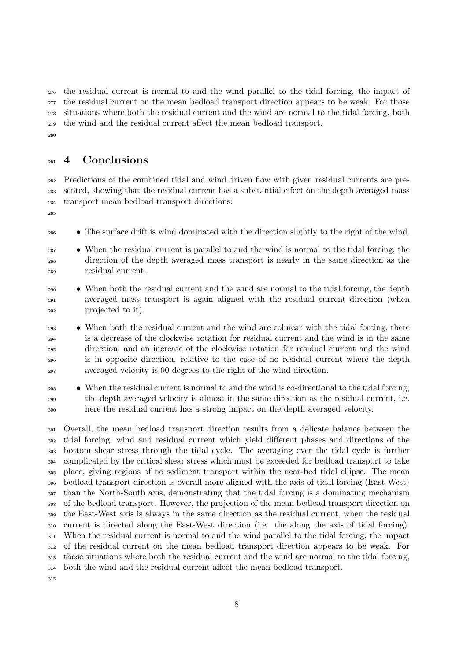the residual current is normal to and the wind parallel to the tidal forcing, the impact of the residual current on the mean bedload transport direction appears to be weak. For those situations where both the residual current and the wind are normal to the tidal forcing, both the wind and the residual current affect the mean bedload transport. 

# 4 Conclusions

 Predictions of the combined tidal and wind driven flow with given residual currents are pre- sented, showing that the residual current has a substantial effect on the depth averaged mass transport mean bedload transport directions:

• The surface drift is wind dominated with the direction slightly to the right of the wind.

- <sup>287</sup> When the residual current is parallel to and the wind is normal to the tidal forcing, the direction of the depth averaged mass transport is nearly in the same direction as the residual current.
- When both the residual current and the wind are normal to the tidal forcing, the depth averaged mass transport is again aligned with the residual current direction (when projected to it).
- When both the residual current and the wind are colinear with the tidal forcing, there is a decrease of the clockwise rotation for residual current and the wind is in the same direction, and an increase of the clockwise rotation for residual current and the wind is in opposite direction, relative to the case of no residual current where the depth averaged velocity is 90 degrees to the right of the wind direction.
- When the residual current is normal to and the wind is co-directional to the tidal forcing, the depth averaged velocity is almost in the same direction as the residual current, i.e. here the residual current has a strong impact on the depth averaged velocity.

 Overall, the mean bedload transport direction results from a delicate balance between the tidal forcing, wind and residual current which yield different phases and directions of the bottom shear stress through the tidal cycle. The averaging over the tidal cycle is further complicated by the critical shear stress which must be exceeded for bedload transport to take place, giving regions of no sediment transport within the near-bed tidal ellipse. The mean bedload transport direction is overall more aligned with the axis of tidal forcing (East-West) than the North-South axis, demonstrating that the tidal forcing is a dominating mechanism of the bedload transport. However, the projection of the mean bedload transport direction on the East-West axis is always in the same direction as the residual current, when the residual current is directed along the East-West direction (i.e. the along the axis of tidal forcing). When the residual current is normal to and the wind parallel to the tidal forcing, the impact of the residual current on the mean bedload transport direction appears to be weak. For those situations where both the residual current and the wind are normal to the tidal forcing, both the wind and the residual current affect the mean bedload transport.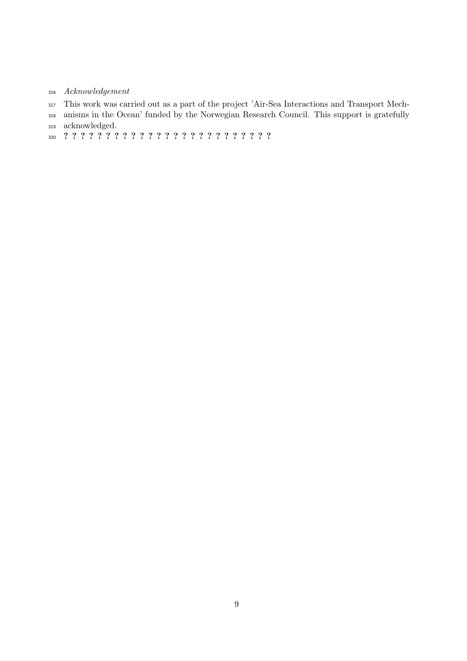- Acknowledgement
- This work was carried out as a part of the project 'Air-Sea Interactions and Transport Mech-
- anisms in the Ocean' funded by the Norwegian Research Council. This support is gratefully acknowledged.
- ? ? ? ? ? ? ? ? ? ? ? ? ? ? ? ? ? ? ? ? ? ? ? ? ?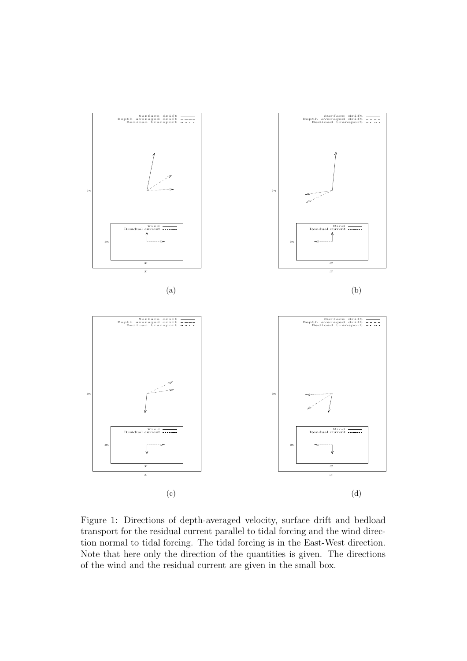

Figure 1: Directions of depth-averaged velocity, surface drift and bedload transport for the residual current parallel to tidal forcing and the wind direction normal to tidal forcing. The tidal forcing is in the East-West direction. Note that here only the direction of the quantities is given. The directions of the wind and the residual current are given in the small box.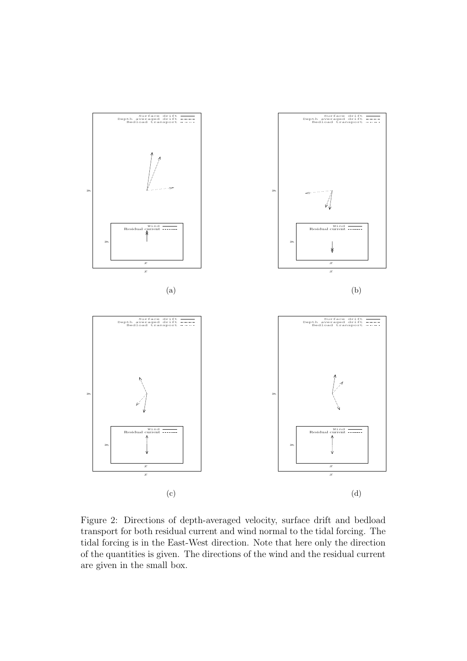

Figure 2: Directions of depth-averaged velocity, surface drift and bedload transport for both residual current and wind normal to the tidal forcing. The tidal forcing is in the East-West direction. Note that here only the direction of the quantities is given. The directions of the wind and the residual current are given in the small box.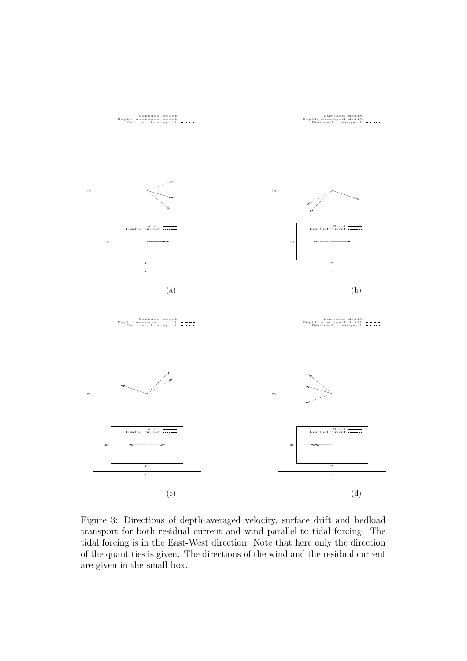

Figure 3: Directions of depth-averaged velocity, surface drift and bedload transport for both residual current and wind parallel to tidal forcing. The tidal forcing is in the East-West direction. Note that here only the direction of the quantities is given. The directions of the wind and the residual current are given in the small box.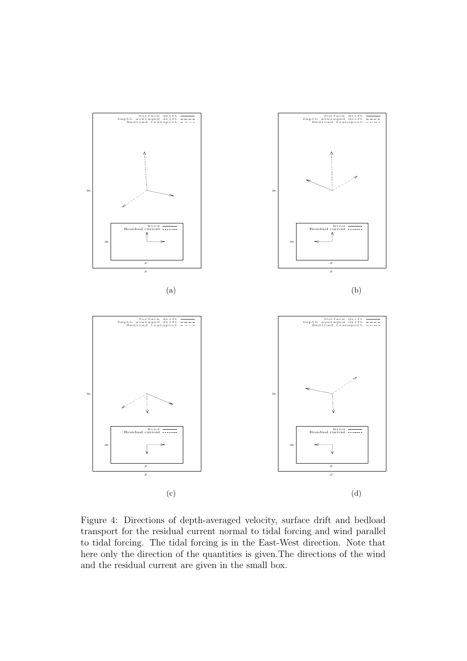

Figure 4: Directions of depth-averaged velocity, surface drift and bedload transport for the residual current normal to tidal forcing and wind parallel to tidal forcing. The tidal forcing is in the East-West direction. Note that here only the direction of the quantities is given.The directions of the wind and the residual current are given in the small box.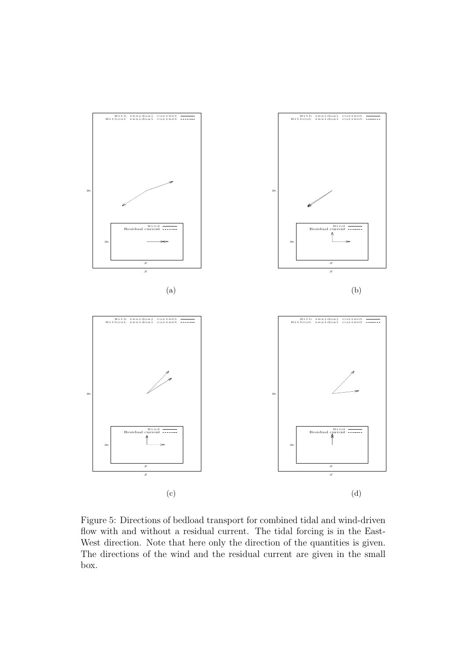

Figure 5: Directions of bedload transport for combined tidal and wind-driven flow with and without a residual current. The tidal forcing is in the East-West direction. Note that here only the direction of the quantities is given. The directions of the wind and the residual current are given in the small box.